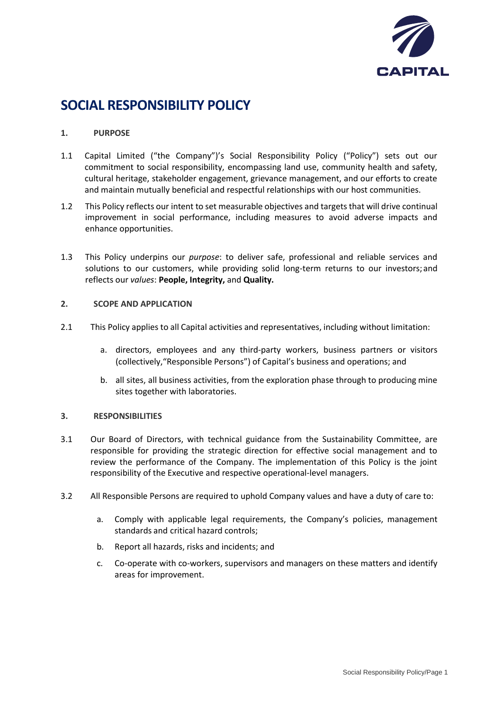

# **SOCIAL RESPONSIBILITY POLICY**

## **1. PURPOSE**

- 1.1 Capital Limited ("the Company")'s Social Responsibility Policy ("Policy") sets out our commitment to social responsibility, encompassing land use, community health and safety, cultural heritage, stakeholder engagement, grievance management, and our efforts to create and maintain mutually beneficial and respectful relationships with our host communities.
- 1.2 This Policy reflects our intent to set measurable objectives and targets that will drive continual improvement in social performance, including measures to avoid adverse impacts and enhance opportunities.
- 1.3 This Policy underpins our *purpose*: to deliver safe, professional and reliable services and solutions to our customers, while providing solid long-term returns to our investors; and reflects our *values*: **People, Integrity,** and **Quality.**

## **2. SCOPE AND APPLICATION**

- 2.1 This Policy applies to all Capital activities and representatives, including without limitation:
	- a. directors, employees and any third-party workers, business partners or visitors (collectively,"Responsible Persons") of Capital's business and operations; and
	- b. all sites, all business activities, from the exploration phase through to producing mine sites together with laboratories.

## **3. RESPONSIBILITIES**

- 3.1 Our Board of Directors, with technical guidance from the Sustainability Committee, are responsible for providing the strategic direction for effective social management and to review the performance of the Company. The implementation of this Policy is the joint responsibility of the Executive and respective operational-level managers.
- 3.2 All Responsible Persons are required to uphold Company values and have a duty of care to:
	- a. Comply with applicable legal requirements, the Company's policies, management standards and critical hazard controls;
	- b. Report all hazards, risks and incidents; and
	- c. Co-operate with co-workers, supervisors and managers on these matters and identify areas for improvement.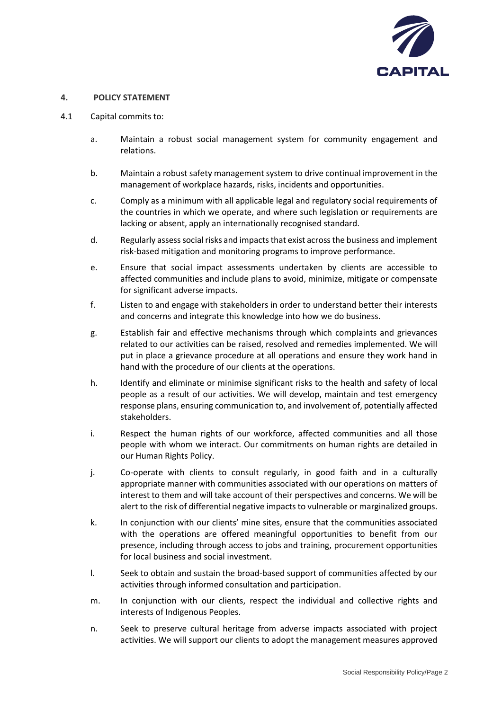

#### **4. POLICY STATEMENT**

- 4.1 Capital commits to:
	- a. Maintain a robust social management system for community engagement and relations.
	- b. Maintain a robust safety management system to drive continual improvement in the management of workplace hazards, risks, incidents and opportunities.
	- c. Comply as a minimum with all applicable legal and regulatory social requirements of the countries in which we operate, and where such legislation or requirements are lacking or absent, apply an internationally recognised standard.
	- d. Regularly assess social risks and impacts that exist across the business and implement risk-based mitigation and monitoring programs to improve performance.
	- e. Ensure that social impact assessments undertaken by clients are accessible to affected communities and include plans to avoid, minimize, mitigate or compensate for significant adverse impacts.
	- f. Listen to and engage with stakeholders in order to understand better their interests and concerns and integrate this knowledge into how we do business.
	- g. Establish fair and effective mechanisms through which complaints and grievances related to our activities can be raised, resolved and remedies implemented. We will put in place a grievance procedure at all operations and ensure they work hand in hand with the procedure of our clients at the operations.
	- h. Identify and eliminate or minimise significant risks to the health and safety of local people as a result of our activities. We will develop, maintain and test emergency response plans, ensuring communication to, and involvement of, potentially affected stakeholders.
	- i. Respect the human rights of our workforce, affected communities and all those people with whom we interact. Our commitments on human rights are detailed in our Human Rights Policy.
	- j. Co-operate with clients to consult regularly, in good faith and in a culturally appropriate manner with communities associated with our operations on matters of interest to them and will take account of their perspectives and concerns. We will be alert to the risk of differential negative impacts to vulnerable or marginalized groups.
	- k. In conjunction with our clients' mine sites, ensure that the communities associated with the operations are offered meaningful opportunities to benefit from our presence, including through access to jobs and training, procurement opportunities for local business and social investment.
	- l. Seek to obtain and sustain the broad-based support of communities affected by our activities through informed consultation and participation.
	- m. In conjunction with our clients, respect the individual and collective rights and interests of Indigenous Peoples.
	- n. Seek to preserve cultural heritage from adverse impacts associated with project activities. We will support our clients to adopt the management measures approved